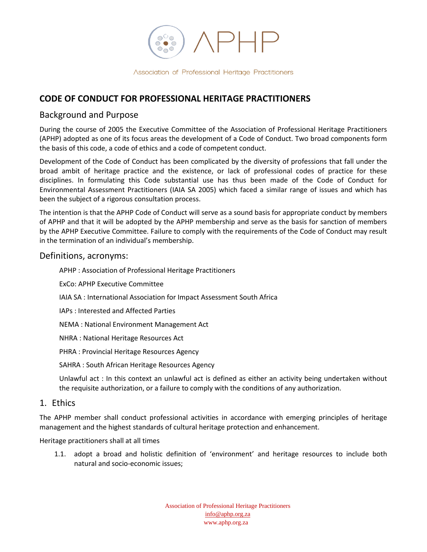$8\degree$ 

```
Association of Professional Heritage Practitioners
```
# **CODE OF CONDUCT FOR PROFESSIONAL HERITAGE PRACTITIONERS**

## Background and Purpose

During the course of 2005 the Executive Committee of the Association of Professional Heritage Practitioners (APHP) adopted as one of its focus areas the development of a Code of Conduct. Two broad components form the basis of this code, a code of ethics and a code of competent conduct.

Development of the Code of Conduct has been complicated by the diversity of professions that fall under the broad ambit of heritage practice and the existence, or lack of professional codes of practice for these disciplines. In formulating this Code substantial use has thus been made of the Code of Conduct for Environmental Assessment Practitioners (IAIA SA 2005) which faced a similar range of issues and which has been the subject of a rigorous consultation process.

The intention is that the APHP Code of Conduct will serve as a sound basis for appropriate conduct by members of APHP and that it will be adopted by the APHP membership and serve as the basis for sanction of members by the APHP Executive Committee. Failure to comply with the requirements of the Code of Conduct may result in the termination of an individual's membership.

#### Definitions, acronyms:

APHP : Association of Professional Heritage Practitioners

- ExCo: APHP Executive Committee
- IAIA SA : International Association for Impact Assessment South Africa
- IAPs : Interested and Affected Parties
- NEMA : National Environment Management Act
- NHRA : National Heritage Resources Act
- PHRA : Provincial Heritage Resources Agency
- SAHRA : South African Heritage Resources Agency

Unlawful act : In this context an unlawful act is defined as either an activity being undertaken without the requisite authorization, or a failure to comply with the conditions of any authorization.

### 1. Ethics

The APHP member shall conduct professional activities in accordance with emerging principles of heritage management and the highest standards of cultural heritage protection and enhancement.

Heritage practitioners shall at all times

1.1. adopt a broad and holistic definition of 'environment' and heritage resources to include both natural and socio-economic issues;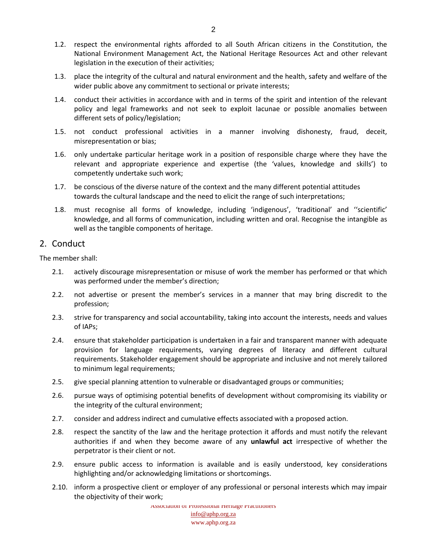- 1.2. respect the environmental rights afforded to all South African citizens in the Constitution, the National Environment Management Act, the National Heritage Resources Act and other relevant legislation in the execution of their activities;
- 1.3. place the integrity of the cultural and natural environment and the health, safety and welfare of the wider public above any commitment to sectional or private interests;
- 1.4. conduct their activities in accordance with and in terms of the spirit and intention of the relevant policy and legal frameworks and not seek to exploit lacunae or possible anomalies between different sets of policy/legislation;
- 1.5. not conduct professional activities in a manner involving dishonesty, fraud, deceit, misrepresentation or bias;
- 1.6. only undertake particular heritage work in a position of responsible charge where they have the relevant and appropriate experience and expertise (the 'values, knowledge and skills') to competently undertake such work;
- 1.7. be conscious of the diverse nature of the context and the many different potential attitudes towards the cultural landscape and the need to elicit the range of such interpretations;
- 1.8. must recognise all forms of knowledge, including 'indigenous', 'traditional' and ''scientific' knowledge, and all forms of communication, including written and oral. Recognise the intangible as well as the tangible components of heritage.

#### 2. Conduct

The member shall:

- 2.1. actively discourage misrepresentation or misuse of work the member has performed or that which was performed under the member's direction;
- 2.2. not advertise or present the member's services in a manner that may bring discredit to the profession;
- 2.3. strive for transparency and social accountability, taking into account the interests, needs and values of IAPs;
- 2.4. ensure that stakeholder participation is undertaken in a fair and transparent manner with adequate provision for language requirements, varying degrees of literacy and different cultural requirements. Stakeholder engagement should be appropriate and inclusive and not merely tailored to minimum legal requirements;
- 2.5. give special planning attention to vulnerable or disadvantaged groups or communities;
- 2.6. pursue ways of optimising potential benefits of development without compromising its viability or the integrity of the cultural environment;
- 2.7. consider and address indirect and cumulative effects associated with a proposed action.
- 2.8. respect the sanctity of the law and the heritage protection it affords and must notify the relevant authorities if and when they become aware of any **unlawful act** irrespective of whether the perpetrator is their client or not.
- 2.9. ensure public access to information is available and is easily understood, key considerations highlighting and/or acknowledging limitations or shortcomings.
- 2.10. inform a prospective client or employer of any professional or personal interests which may impair the objectivity of their work;

Association of Professional Heritage Practitioners info@aphp.org.za www.aphp.org.za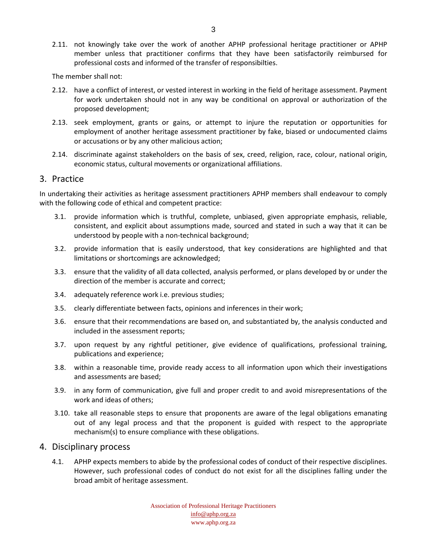2.11. not knowingly take over the work of another APHP professional heritage practitioner or APHP member unless that practitioner confirms that they have been satisfactorily reimbursed for professional costs and informed of the transfer of responsibilties.

The member shall not:

- 2.12. have a conflict of interest, or vested interest in working in the field of heritage assessment. Payment for work undertaken should not in any way be conditional on approval or authorization of the proposed development;
- 2.13. seek employment, grants or gains, or attempt to injure the reputation or opportunities for employment of another heritage assessment practitioner by fake, biased or undocumented claims or accusations or by any other malicious action;
- 2.14. discriminate against stakeholders on the basis of sex, creed, religion, race, colour, national origin, economic status, cultural movements or organizational affiliations.

#### 3. Practice

In undertaking their activities as heritage assessment practitioners APHP members shall endeavour to comply with the following code of ethical and competent practice:

- 3.1. provide information which is truthful, complete, unbiased, given appropriate emphasis, reliable, consistent, and explicit about assumptions made, sourced and stated in such a way that it can be understood by people with a non-technical background;
- 3.2. provide information that is easily understood, that key considerations are highlighted and that limitations or shortcomings are acknowledged;
- 3.3. ensure that the validity of all data collected, analysis performed, or plans developed by or under the direction of the member is accurate and correct;
- 3.4. adequately reference work i.e. previous studies;
- 3.5. clearly differentiate between facts, opinions and inferences in their work;
- 3.6. ensure that their recommendations are based on, and substantiated by, the analysis conducted and included in the assessment reports;
- 3.7. upon request by any rightful petitioner, give evidence of qualifications, professional training, publications and experience;
- 3.8. within a reasonable time, provide ready access to all information upon which their investigations and assessments are based;
- 3.9. in any form of communication, give full and proper credit to and avoid misrepresentations of the work and ideas of others;
- 3.10. take all reasonable steps to ensure that proponents are aware of the legal obligations emanating out of any legal process and that the proponent is guided with respect to the appropriate mechanism(s) to ensure compliance with these obligations.

#### 4. Disciplinary process

4.1. APHP expects members to abide by the professional codes of conduct of their respective disciplines. However, such professional codes of conduct do not exist for all the disciplines falling under the broad ambit of heritage assessment.